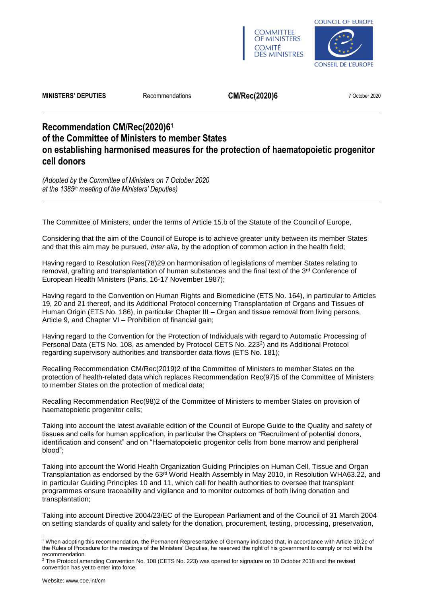



**MINISTERS' DEPUTIES** Recommendations **CM/Rec(2020)6** 7 October 2020

# **Recommendation CM/Rec(2020)6<sup>1</sup> of the Committee of Ministers to member States on establishing harmonised measures for the protection of haematopoietic progenitor cell donors**

*(Adopted by the Committee of Ministers on 7 October 2020 at the 1385th meeting of the Ministers' Deputies)*

The Committee of Ministers, under the terms of Article 15.b of the Statute of the Council of Europe,

Considering that the aim of the Council of Europe is to achieve greater unity between its member States and that this aim may be pursued, *inter alia*, by the adoption of common action in the health field;

Having regard to Resolution [Res\(78\)29](https://search.coe.int/cm/Pages/result_details.aspx?Reference=Res(78)29) on harmonisation of legislations of member States relating to removal, grafting and transplantation of human substances and the final text of the 3<sup>rd</sup> Conference of European Health Ministers (Paris, 16-17 November 1987);

Having regard to the Convention on Human Rights and Biomedicine (ETS No. 164), in particular to Articles 19, 20 and 21 thereof, and its Additional Protocol concerning Transplantation of Organs and Tissues of Human Origin (ETS No. 186), in particular Chapter III – Organ and tissue removal from living persons, Article 9, and Chapter VI – Prohibition of financial gain;

Having regard to the Convention for the Protection of Individuals with regard to Automatic Processing of Personal Data (ETS No. 108, as amended by Protocol CETS No. 223<sup>2</sup>) and its Additional Protocol regarding supervisory authorities and transborder data flows (ETS No. 181);

Recalling Recommendation [CM/Rec\(2019\)2](https://search.coe.int/cm/Pages/result_details.aspx?Reference=CM/Rec(2019)2) of the Committee of Ministers to member States on the protection of health-related data which replaces Recommendation [Rec\(97\)5](https://search.coe.int/cm/Pages/result_details.aspx?Reference=Rec(97)5) of the Committee of Ministers to member States on the protection of medical data;

Recalling Recommendation [Rec\(98\)2](https://search.coe.int/cm/Pages/result_details.aspx?Reference=Rec(98)2) of the Committee of Ministers to member States on provision of haematopoietic progenitor cells;

Taking into account the latest available edition of the Council of Europe Guide to the Quality and safety of tissues and cells for human application, in particular the Chapters on "Recruitment of potential donors, identification and consent" and on "Haematopoietic progenitor cells from bone marrow and peripheral blood";

Taking into account the World Health Organization Guiding Principles on Human Cell, Tissue and Organ Transplantation as endorsed by the 63rd World Health Assembly in May 2010, in Resolution WHA63.22, and in particular Guiding Principles 10 and 11, which call for health authorities to oversee that transplant programmes ensure traceability and vigilance and to monitor outcomes of both living donation and transplantation;

Taking into account Directive 2004/23/EC of the European Parliament and of the Council of 31 March 2004 on setting standards of quality and safety for the donation, procurement, testing, processing, preservation,

l <sup>1</sup> When adopting this recommendation, the Permanent Representative of Germany indicated that, in accordance with Article 10.2*c* of the Rules of Procedure for the meetings of the Ministers' Deputies, he reserved the right of his government to comply or not with the recommendation.

 $2$  The Protocol amending Convention No. 108 (CETS No. 223) was opened for signature on 10 October 2018 and the revised convention has yet to enter into force.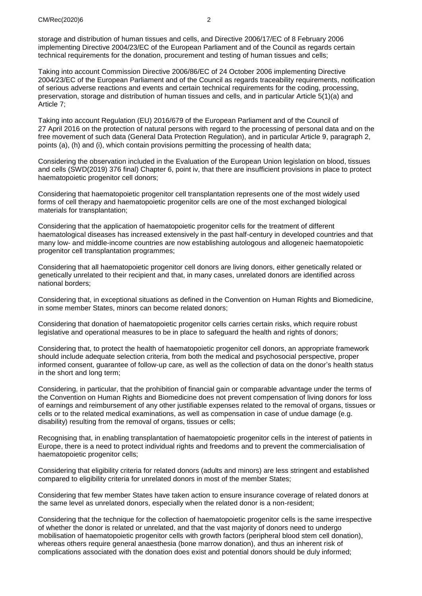storage and distribution of human tissues and cells, and Directive 2006/17/EC of 8 February 2006 implementing Directive 2004/23/EC of the European Parliament and of the Council as regards certain technical requirements for the donation, procurement and testing of human tissues and cells;

Taking into account Commission Directive 2006/86/EC of 24 October 2006 implementing Directive 2004/23/EC of the European Parliament and of the Council as regards traceability requirements, notification of serious adverse reactions and events and certain technical requirements for the coding, processing, preservation, storage and distribution of human tissues and cells, and in particular Article 5(1)(a) and Article 7;

Taking into account Regulation (EU) 2016/679 of the European Parliament and of the Council of 27 April 2016 on the protection of natural persons with regard to the processing of personal data and on the free movement of such data (General Data Protection Regulation), and in particular Article 9, paragraph 2, points (a), (h) and (i), which contain provisions permitting the processing of health data;

Considering the observation included in the Evaluation of the European Union legislation on blood, tissues and cells (SWD(2019) 376 final) Chapter 6, point iv, that there are insufficient provisions in place to protect haematopoietic progenitor cell donors;

Considering that haematopoietic progenitor cell transplantation represents one of the most widely used forms of cell therapy and haematopoietic progenitor cells are one of the most exchanged biological materials for transplantation;

Considering that the application of haematopoietic progenitor cells for the treatment of different haematological diseases has increased extensively in the past half-century in developed countries and that many low- and middle-income countries are now establishing autologous and allogeneic haematopoietic progenitor cell transplantation programmes;

Considering that all haematopoietic progenitor cell donors are living donors, either genetically related or genetically unrelated to their recipient and that, in many cases, unrelated donors are identified across national borders;

Considering that, in exceptional situations as defined in the Convention on Human Rights and Biomedicine, in some member States, minors can become related donors;

Considering that donation of haematopoietic progenitor cells carries certain risks, which require robust legislative and operational measures to be in place to safeguard the health and rights of donors;

Considering that, to protect the health of haematopoietic progenitor cell donors, an appropriate framework should include adequate selection criteria, from both the medical and psychosocial perspective, proper informed consent, guarantee of follow-up care, as well as the collection of data on the donor's health status in the short and long term;

Considering, in particular, that the prohibition of financial gain or comparable advantage under the terms of the Convention on Human Rights and Biomedicine does not prevent compensation of living donors for loss of earnings and reimbursement of any other justifiable expenses related to the removal of organs, tissues or cells or to the related medical examinations, as well as compensation in case of undue damage (e.g. disability) resulting from the removal of organs, tissues or cells;

Recognising that, in enabling transplantation of haematopoietic progenitor cells in the interest of patients in Europe, there is a need to protect individual rights and freedoms and to prevent the commercialisation of haematopoietic progenitor cells;

Considering that eligibility criteria for related donors (adults and minors) are less stringent and established compared to eligibility criteria for unrelated donors in most of the member States;

Considering that few member States have taken action to ensure insurance coverage of related donors at the same level as unrelated donors, especially when the related donor is a non-resident;

Considering that the technique for the collection of haematopoietic progenitor cells is the same irrespective of whether the donor is related or unrelated, and that the vast majority of donors need to undergo mobilisation of haematopoietic progenitor cells with growth factors (peripheral blood stem cell donation), whereas others require general anaesthesia (bone marrow donation), and thus an inherent risk of complications associated with the donation does exist and potential donors should be duly informed;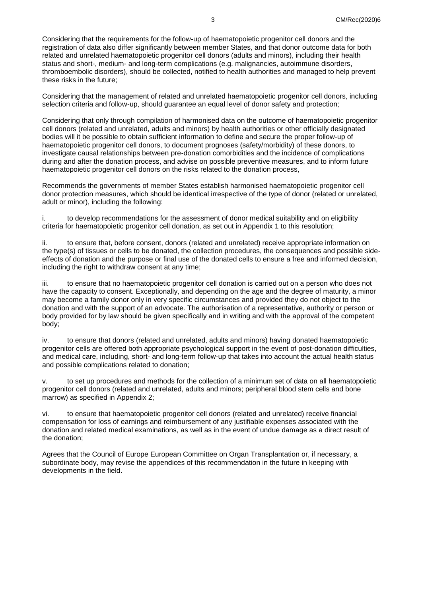Considering that the requirements for the follow-up of haematopoietic progenitor cell donors and the registration of data also differ significantly between member States, and that donor outcome data for both related and unrelated haematopoietic progenitor cell donors (adults and minors), including their health status and short-, medium- and long-term complications (e.g. malignancies, autoimmune disorders, thromboembolic disorders), should be collected, notified to health authorities and managed to help prevent these risks in the future;

Considering that the management of related and unrelated haematopoietic progenitor cell donors, including selection criteria and follow-up, should guarantee an equal level of donor safety and protection;

Considering that only through compilation of harmonised data on the outcome of haematopoietic progenitor cell donors (related and unrelated, adults and minors) by health authorities or other officially designated bodies will it be possible to obtain sufficient information to define and secure the proper follow-up of haematopoietic progenitor cell donors, to document prognoses (safety/morbidity) of these donors, to investigate causal relationships between pre-donation comorbidities and the incidence of complications during and after the donation process, and advise on possible preventive measures, and to inform future haematopoietic progenitor cell donors on the risks related to the donation process,

Recommends the governments of member States establish harmonised haematopoietic progenitor cell donor protection measures, which should be identical irrespective of the type of donor (related or unrelated, adult or minor), including the following:

i. to develop recommendations for the assessment of donor medical suitability and on eligibility criteria for haematopoietic progenitor cell donation, as set out in Appendix 1 to this resolution;

ii. to ensure that, before consent, donors (related and unrelated) receive appropriate information on the type(s) of tissues or cells to be donated, the collection procedures, the consequences and possible sideeffects of donation and the purpose or final use of the donated cells to ensure a free and informed decision, including the right to withdraw consent at any time;

iii. to ensure that no haematopoietic progenitor cell donation is carried out on a person who does not have the capacity to consent. Exceptionally, and depending on the age and the degree of maturity, a minor may become a family donor only in very specific circumstances and provided they do not object to the donation and with the support of an advocate. The authorisation of a representative, authority or person or body provided for by law should be given specifically and in writing and with the approval of the competent body;

iv. to ensure that donors (related and unrelated, adults and minors) having donated haematopoietic progenitor cells are offered both appropriate psychological support in the event of post-donation difficulties, and medical care, including, short- and long-term follow-up that takes into account the actual health status and possible complications related to donation;

v. to set up procedures and methods for the collection of a minimum set of data on all haematopoietic progenitor cell donors (related and unrelated, adults and minors; peripheral blood stem cells and bone marrow) as specified in Appendix 2;

vi. to ensure that haematopoietic progenitor cell donors (related and unrelated) receive financial compensation for loss of earnings and reimbursement of any justifiable expenses associated with the donation and related medical examinations, as well as in the event of undue damage as a direct result of the donation;

Agrees that the Council of Europe European Committee on Organ Transplantation or, if necessary, a subordinate body, may revise the appendices of this recommendation in the future in keeping with developments in the field.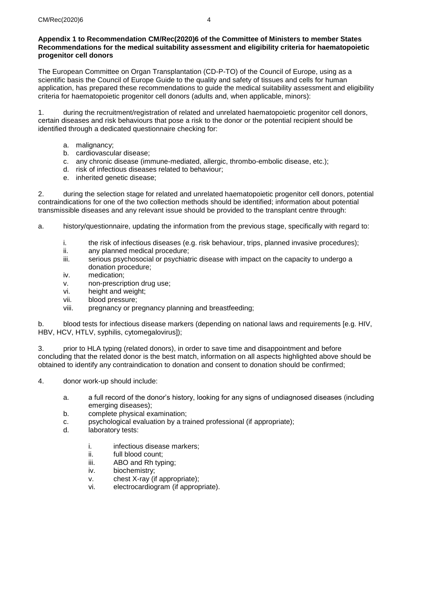## **Appendix 1 to Recommendation [CM/Rec\(2020\)6](https://search.coe.int/cm/Pages/result_details.aspx?Reference=CM/Rec(2020)6) of the Committee of Ministers to member States Recommendations for the medical suitability assessment and eligibility criteria for haematopoietic progenitor cell donors**

The European Committee on Organ Transplantation (CD-P-TO) of the Council of Europe, using as a scientific basis the Council of Europe Guide to the quality and safety of tissues and cells for human application, has prepared these recommendations to guide the medical suitability assessment and eligibility criteria for haematopoietic progenitor cell donors (adults and, when applicable, minors):

1. during the recruitment/registration of related and unrelated haematopoietic progenitor cell donors, certain diseases and risk behaviours that pose a risk to the donor or the potential recipient should be identified through a dedicated questionnaire checking for:

- a. malignancy;
- b. cardiovascular disease;
- c. any chronic disease (immune-mediated, allergic, thrombo-embolic disease, etc.);
- d. risk of infectious diseases related to behaviour;
- e. inherited genetic disease;

2. during the selection stage for related and unrelated haematopoietic progenitor cell donors, potential contraindications for one of the two collection methods should be identified; information about potential transmissible diseases and any relevant issue should be provided to the transplant centre through:

- a. history/questionnaire, updating the information from the previous stage, specifically with regard to:
	- i. the risk of infectious diseases (e.g. risk behaviour, trips, planned invasive procedures);<br>ii. anv planned medical procedure:
	- ii. any planned medical procedure;<br>iii. serious psychosocial or psychiat
	- serious psychosocial or psychiatric disease with impact on the capacity to undergo a donation procedure;
	- iv. medication;
	- v. non-prescription drug use;
	- vi. height and weight;
	- vii. blood pressure;
	- viii. pregnancy or pregnancy planning and breastfeeding;

b. blood tests for infectious disease markers (depending on national laws and requirements [e.g. HIV, HBV, HCV, HTLV, syphilis, cytomegalovirus]);

3. prior to HLA typing (related donors), in order to save time and disappointment and before concluding that the related donor is the best match, information on all aspects highlighted above should be obtained to identify any contraindication to donation and consent to donation should be confirmed;

- 4. donor work-up should include:
	- a. a full record of the donor's history, looking for any signs of undiagnosed diseases (including emerging diseases);
	- b. complete physical examination;
	- c. psychological evaluation by a trained professional (if appropriate);
	- d. laboratory tests:
		- i. infectious disease markers:
		- ii. full blood count;
		- iii. ABO and Rh typing;
		- iv. biochemistry;
		- v. chest X-ray (if appropriate);
		- vi. electrocardiogram (if appropriate).